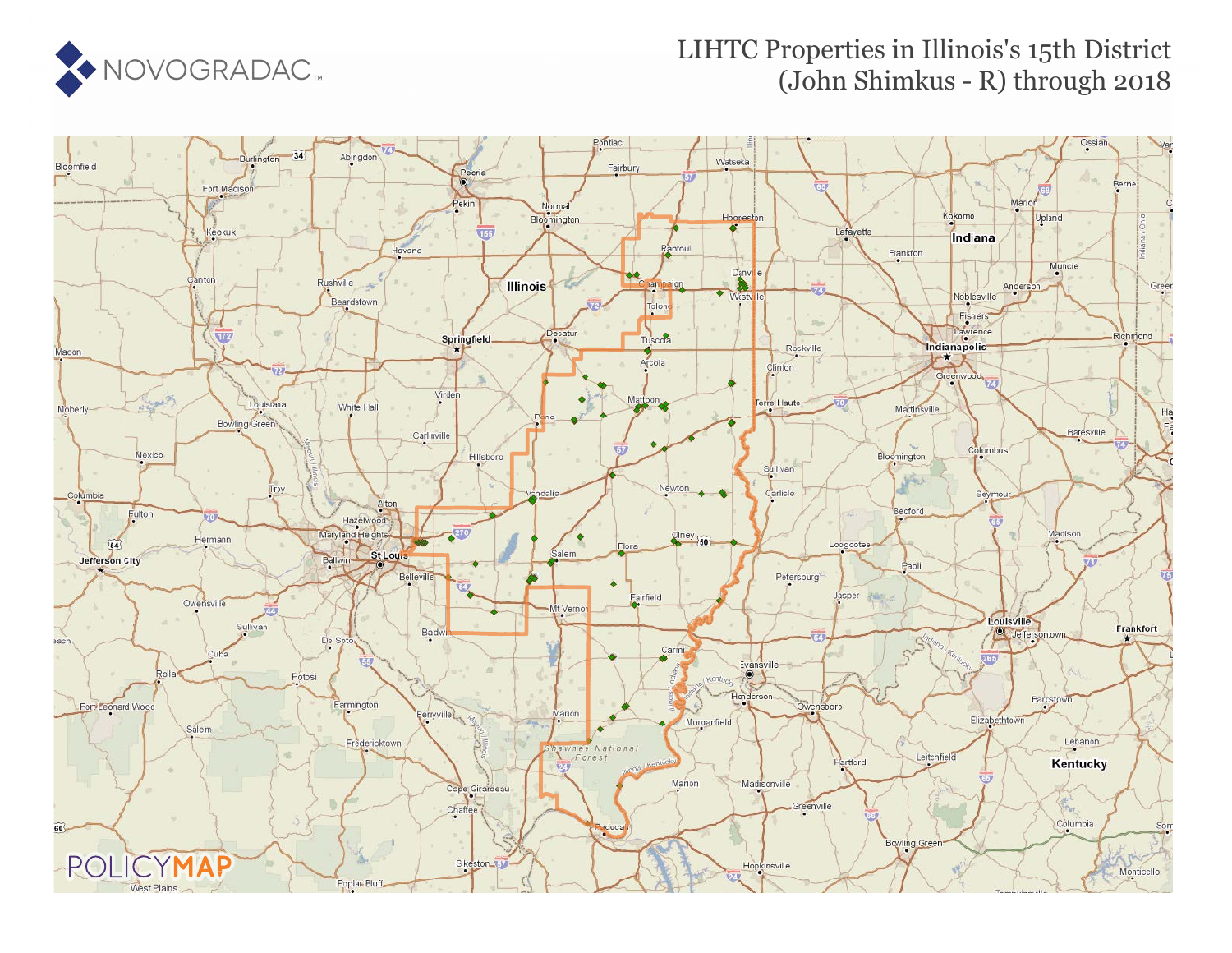

### LIHTC Properties in Illinois's 15th District (John Shimkus - R) through 2018

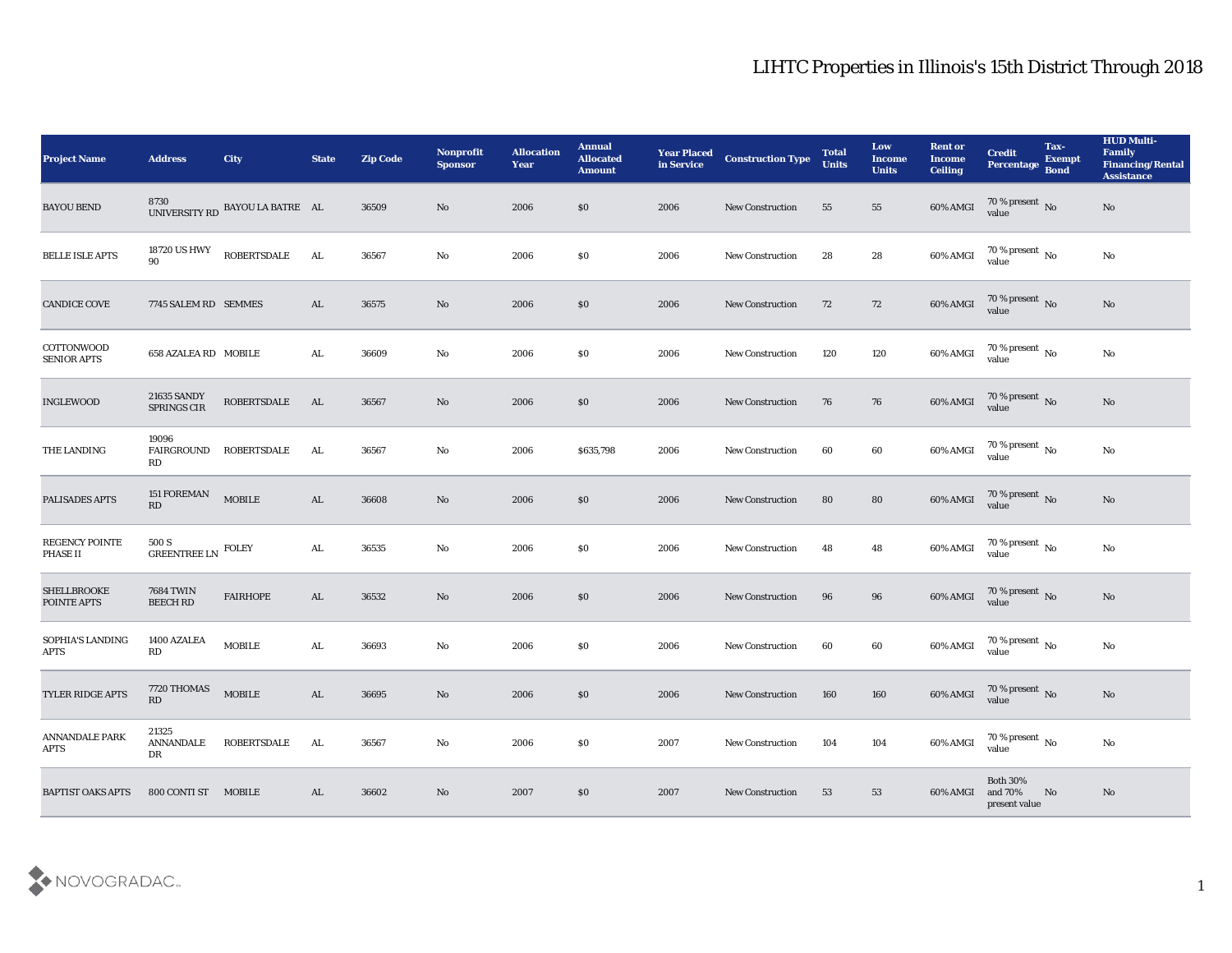| <b>Project Name</b>                     | <b>Address</b>                           | <b>City</b>                             | <b>State</b> | <b>Zip Code</b> | Nonprofit<br><b>Sponsor</b> | <b>Allocation</b><br><b>Year</b> | <b>Annual</b><br><b>Allocated</b><br><b>Amount</b> | <b>Year Placed</b><br>in Service | <b>Construction Type</b> | <b>Total</b><br><b>Units</b> | Low<br><b>Income</b><br><b>Units</b> | <b>Rent or</b><br><b>Income</b><br><b>Ceiling</b> | <b>Credit</b><br>Percentage Bond        | Tax-<br><b>Exempt</b> | <b>HUD Multi-</b><br>Family<br><b>Financing/Rental</b><br><b>Assistance</b> |
|-----------------------------------------|------------------------------------------|-----------------------------------------|--------------|-----------------|-----------------------------|----------------------------------|----------------------------------------------------|----------------------------------|--------------------------|------------------------------|--------------------------------------|---------------------------------------------------|-----------------------------------------|-----------------------|-----------------------------------------------------------------------------|
| <b>BAYOU BEND</b>                       |                                          | 8730<br>UNIVERSITY RD BAYOU LA BATRE AL |              | 36509           | No                          | 2006                             | $\$0$                                              | 2006                             | <b>New Construction</b>  | 55                           | 55                                   | 60% AMGI                                          | 70 % present No<br>value                |                       | No                                                                          |
| <b>BELLE ISLE APTS</b>                  | 18720 US HWY<br>90                       | <b>ROBERTSDALE</b>                      | AL           | 36567           | No                          | 2006                             | $\$0$                                              | 2006                             | <b>New Construction</b>  | 28                           | 28                                   | 60% AMGI                                          | $70$ % present $\,$ No $\,$ value       |                       | No                                                                          |
| <b>CANDICE COVE</b>                     | 7745 SALEM RD SEMMES                     |                                         | AL           | 36575           | No                          | 2006                             | \$0\$                                              | 2006                             | <b>New Construction</b>  | 72                           | 72                                   | 60% AMGI                                          | $70\,\%$ present $\,$ No value          |                       | No                                                                          |
| <b>COTTONWOOD</b><br><b>SENIOR APTS</b> | 658 AZALEA RD MOBILE                     |                                         | AL           | 36609           | No                          | 2006                             | \$0                                                | 2006                             | <b>New Construction</b>  | 120                          | 120                                  | 60% AMGI                                          | $70\,\%$ present $\,$ No value          |                       | $\mathbf{N}\mathbf{o}$                                                      |
| <b>INGLEWOOD</b>                        | 21635 SANDY<br>SPRINGS CIR               | <b>ROBERTSDALE</b>                      | AL           | 36567           | No                          | 2006                             | \$0\$                                              | 2006                             | <b>New Construction</b>  | 76                           | 76                                   | $60\%$ AMGI                                       | $70\,\%$ present $\,$ No value          |                       | No                                                                          |
| THE LANDING                             | 19096<br>FAIRGROUND<br><b>RD</b>         | ROBERTSDALE                             | AL           | 36567           | No                          | 2006                             | \$635,798                                          | 2006                             | <b>New Construction</b>  | 60                           | 60                                   | 60% AMGI                                          | $70\,\% \,present \over value$          |                       | No                                                                          |
| PALISADES APTS                          | 151 FOREMAN<br>RD                        | $\operatorname{MOBILE}$                 | AL           | 36608           | No                          | 2006                             | $\$0$                                              | 2006                             | New Construction         | 80                           | 80                                   | 60% AMGI                                          | 70 % present No<br>value                |                       | No                                                                          |
| REGENCY POINTE<br>PHASE II              | 500 S<br>${\tt GREENTREE}$ LN $\,$ FOLEY |                                         | AL           | 36535           | No                          | 2006                             | \$0\$                                              | 2006                             | <b>New Construction</b>  | 48                           | 48                                   | 60% AMGI                                          | $70\,\%$ present $\,$ No value          |                       | No                                                                          |
| <b>SHELLBROOKE</b><br>POINTE APTS       | <b>7684 TWIN</b><br><b>BEECH RD</b>      | <b>FAIRHOPE</b>                         | AL           | 36532           | No                          | 2006                             | \$0\$                                              | 2006                             | <b>New Construction</b>  | 96                           | 96                                   | 60% AMGI                                          | $70\,\%$ present $\,$ No value          |                       | No                                                                          |
| SOPHIA'S LANDING<br><b>APTS</b>         | 1400 AZALEA<br>RD                        | <b>MOBILE</b>                           | AL           | 36693           | No                          | 2006                             | \$0                                                | 2006                             | <b>New Construction</b>  | 60                           | 60                                   | 60% AMGI                                          | $70\,\%$ present $\,$ No value          |                       | $\mathbf{N}\mathbf{o}$                                                      |
| <b>TYLER RIDGE APTS</b>                 | 7720 THOMAS<br>RD                        | <b>MOBILE</b>                           | AL           | 36695           | No                          | 2006                             | $\$0$                                              | 2006                             | <b>New Construction</b>  | 160                          | 160                                  | 60% AMGI                                          | $70\,\%$ present $\,$ No value          |                       | No                                                                          |
| ANNANDALE PARK<br>$\rm APTS$            | 21325<br>ANNANDALE<br>DR                 | <b>ROBERTSDALE</b>                      | AL           | 36567           | $\mathbf{N}\mathbf{o}$      | 2006                             | $\$0$                                              | 2007                             | New Construction         | 104                          | 104                                  | 60% AMGI                                          | $70$ % present $\,$ No value            |                       | $\mathbf{N}\mathbf{o}$                                                      |
| <b>BAPTIST OAKS APTS</b>                | 800 CONTI ST MOBILE                      |                                         | AL           | 36602           | No                          | 2007                             | $\$0$                                              | 2007                             | <b>New Construction</b>  | 53                           | 53                                   | 60% AMGI                                          | Both $30\%$<br>and 70%<br>present value | No                    | $\mathbf{N}\mathbf{o}$                                                      |

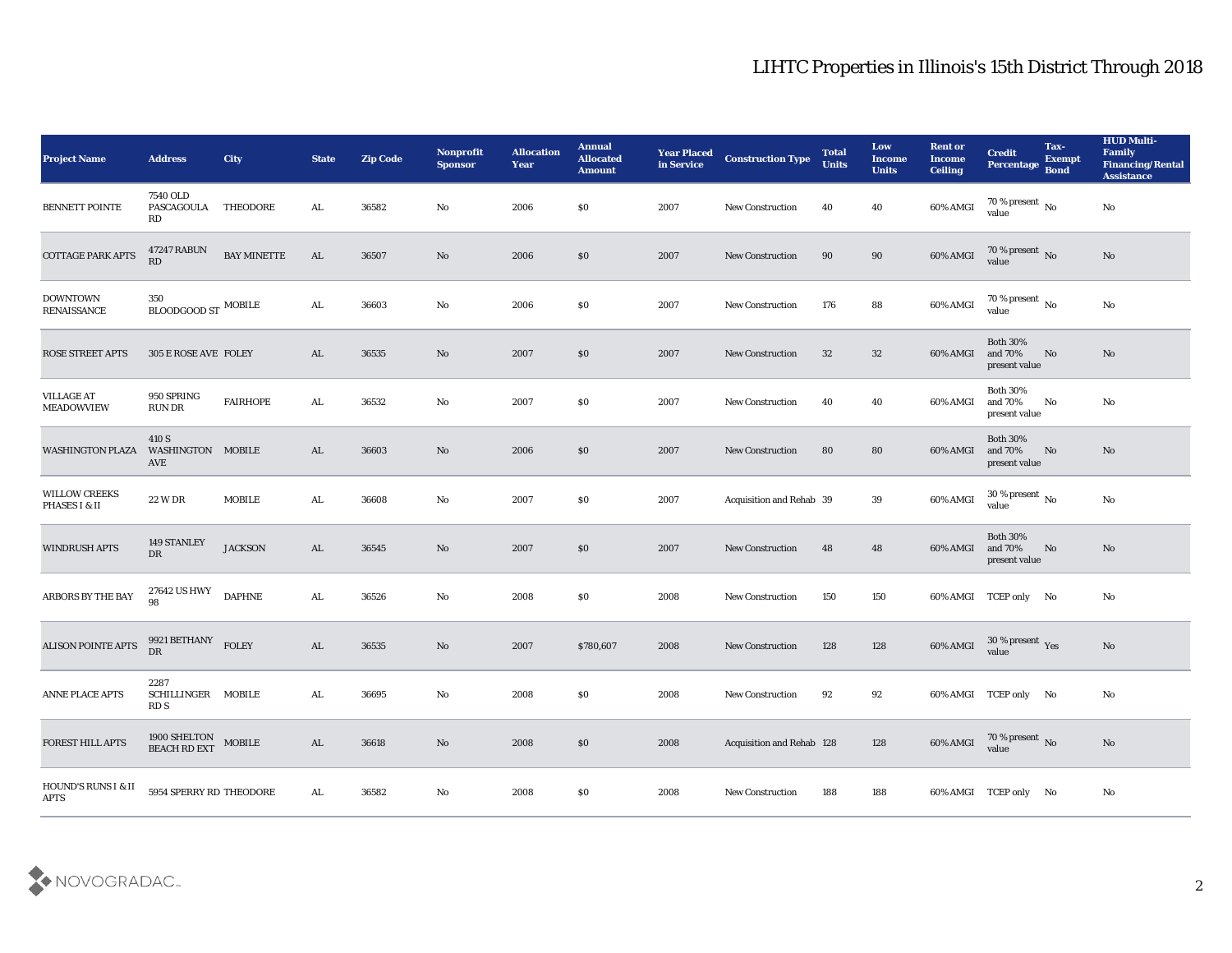| <b>Project Name</b>                    | <b>Address</b>                              | <b>City</b>        | <b>State</b> | <b>Zip Code</b> | Nonprofit<br><b>Sponsor</b> | <b>Allocation</b><br><b>Year</b> | <b>Annual</b><br><b>Allocated</b><br><b>Amount</b> | <b>Year Placed</b><br>in Service | <b>Construction Type</b>  | <b>Total</b><br><b>Units</b> | Low<br><b>Income</b><br><b>Units</b> | <b>Rent or</b><br><b>Income</b><br><b>Ceiling</b> | <b>Credit</b><br>Percentage Bond                                | Tax-<br><b>Exempt</b> | <b>HUD Multi-</b><br>Family<br><b>Financing/Rental</b><br><b>Assistance</b> |
|----------------------------------------|---------------------------------------------|--------------------|--------------|-----------------|-----------------------------|----------------------------------|----------------------------------------------------|----------------------------------|---------------------------|------------------------------|--------------------------------------|---------------------------------------------------|-----------------------------------------------------------------|-----------------------|-----------------------------------------------------------------------------|
| <b>BENNETT POINTE</b>                  | 7540 OLD<br>PASCAGOULA<br>RD                | THEODORE           | AL           | 36582           | No                          | 2006                             | \$0                                                | 2007                             | <b>New Construction</b>   | 40                           | 40                                   | 60% AMGI                                          | $70\,\%$ present $\,$ No value                                  |                       | No                                                                          |
| <b>COTTAGE PARK APTS</b>               | <b>47247 RABUN</b><br>RD                    | <b>BAY MINETTE</b> | AL           | 36507           | No                          | 2006                             | \$0                                                | 2007                             | <b>New Construction</b>   | 90                           | 90                                   | 60% AMGI                                          | $70$ % present $\,$ No $\,$ value                               |                       | No                                                                          |
| <b>DOWNTOWN</b><br><b>RENAISSANCE</b>  | 350<br>$\,$ BLOODGOOD ST $\,$ MOBILE        |                    | AL.          | 36603           | No                          | 2006                             | \$0\$                                              | 2007                             | <b>New Construction</b>   | 176                          | 88                                   | 60% AMGI                                          | $70\,\%$ present $\,$ No value                                  |                       | No                                                                          |
| ROSE STREET APTS                       | 305 E ROSE AVE FOLEY                        |                    | AL           | 36535           | No                          | 2007                             | \$0\$                                              | 2007                             | <b>New Construction</b>   | 32                           | 32                                   | 60% AMGI                                          | <b>Both 30%</b><br>and 70%<br>present value                     | No                    | No                                                                          |
| <b>VILLAGE AT</b><br><b>MEADOWVIEW</b> | 950 SPRING<br>RUN DR                        | <b>FAIRHOPE</b>    | AL           | 36532           | No                          | 2007                             | \$0\$                                              | 2007                             | <b>New Construction</b>   | 40                           | 40                                   | 60% AMGI                                          | <b>Both 30%</b><br>and 70%<br>present value                     | No                    | No                                                                          |
| <b>WASHINGTON PLAZA</b>                | 410 S<br>WASHINGTON MOBILE<br>AVE           |                    | AL           | 36603           | No                          | 2006                             | \$0                                                | 2007                             | <b>New Construction</b>   | 80                           | 80                                   | 60% AMGI                                          | <b>Both 30%</b><br>and 70%<br>present value                     | No                    | No                                                                          |
| <b>WILLOW CREEKS</b><br>PHASES I & II  | <b>22 W DR</b>                              | <b>MOBILE</b>      | AL.          | 36608           | No                          | 2007                             | $\$0$                                              | 2007                             | Acquisition and Rehab 39  |                              | 39                                   | 60% AMGI                                          | $30\,\%$ present $\,$ No value                                  |                       | No                                                                          |
| <b>WINDRUSH APTS</b>                   | 149 STANLEY<br>DR                           | <b>JACKSON</b>     | AL           | 36545           | No                          | 2007                             | \$0                                                | 2007                             | <b>New Construction</b>   | 48                           | 48                                   | 60% AMGI                                          | <b>Both 30%</b><br>and 70%<br>present value                     | No                    | No                                                                          |
| ARBORS BY THE BAY                      | 27642 US HWY<br>98                          | <b>DAPHNE</b>      | AL           | 36526           | No                          | 2008                             | \$0\$                                              | 2008                             | <b>New Construction</b>   | 150                          | 150                                  |                                                   | 60% AMGI TCEP only No                                           |                       | No                                                                          |
| <b>ALISON POINTE APTS</b>              | 9921 BETHANY $$\rm{FOLEY}$$<br><b>DR</b>    |                    | AL           | 36535           | No                          | 2007                             | \$780,607                                          | 2008                             | <b>New Construction</b>   | 128                          | 128                                  | 60% AMGI                                          | $30\,\%$ present $\,\mathrm{Yes}$ value                         |                       | $\mathbf{N}\mathbf{o}$                                                      |
| <b>ANNE PLACE APTS</b>                 | 2287<br>SCHILLINGER MOBILE<br>RD S          |                    | AL           | 36695           | No                          | 2008                             | \$0                                                | 2008                             | New Construction          | 92                           | 92                                   |                                                   | 60% AMGI TCEP only No                                           |                       | No                                                                          |
| <b>FOREST HILL APTS</b>                | $1900$ SHELTON $$\sf{MOBILE}$$ BEACH RD EXT |                    | AL           | 36618           | $\rm\thinspace No$          | 2008                             | $\$0$                                              | 2008                             | Acquisition and Rehab 128 |                              | 128                                  |                                                   | 60% AMGI $\frac{70 \text{ %} \text{ present}}{\text{value}}$ No |                       | $\rm \bf No$                                                                |
| HOUND'S RUNS I & II<br><b>APTS</b>     | 5954 SPERRY RD THEODORE                     |                    | ${\bf AL}$   | 36582           | $\rm\thinspace No$          | 2008                             | $\boldsymbol{\mathsf{S}}\boldsymbol{\mathsf{0}}$   | 2008                             | New Construction          | 188                          | 188                                  |                                                   | 60% AMGI TCEP only No                                           |                       | No                                                                          |

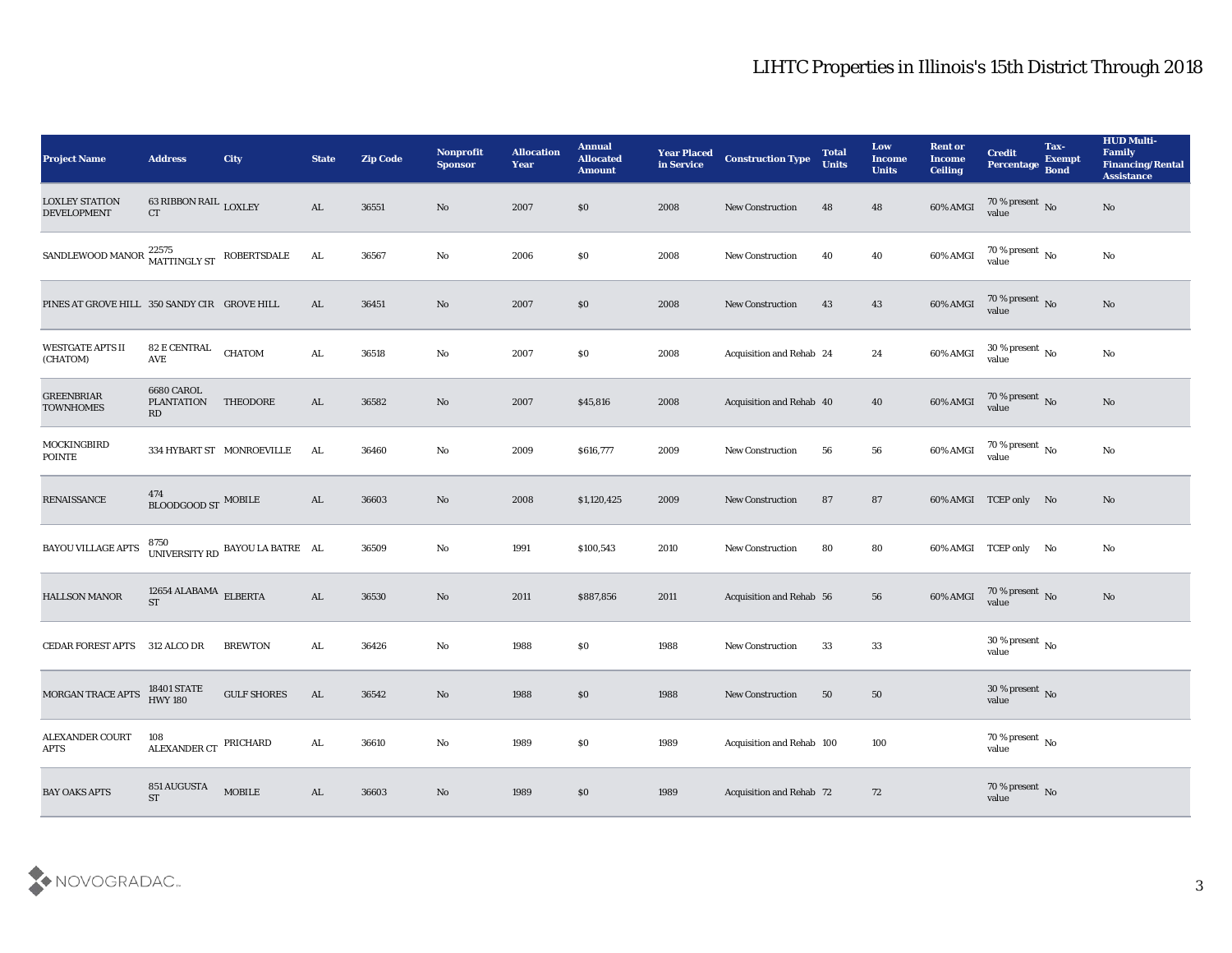| <b>Project Name</b>                          | <b>Address</b>                               | City                            | <b>State</b>  | <b>Zip Code</b> | Nonprofit<br><b>Sponsor</b> | <b>Allocation</b><br><b>Year</b> | <b>Annual</b><br><b>Allocated</b><br><b>Amount</b> | <b>Year Placed</b><br>in Service | <b>Construction Type</b>  | <b>Total</b><br><b>Units</b> | Low<br><b>Income</b><br><b>Units</b> | <b>Rent or</b><br><b>Income</b><br><b>Ceiling</b> | <b>Credit</b><br>Percentage Bond             | Tax-<br><b>Exempt</b> | <b>HUD Multi-</b><br>Family<br><b>Financing/Rental</b><br><b>Assistance</b> |
|----------------------------------------------|----------------------------------------------|---------------------------------|---------------|-----------------|-----------------------------|----------------------------------|----------------------------------------------------|----------------------------------|---------------------------|------------------------------|--------------------------------------|---------------------------------------------------|----------------------------------------------|-----------------------|-----------------------------------------------------------------------------|
| <b>LOXLEY STATION</b><br><b>DEVELOPMENT</b>  | 63 RIBBON RAIL $_{\rm{LOXLEY}}$<br><b>CT</b> |                                 | AL            | 36551           | No                          | 2007                             | $\$0$                                              | 2008                             | <b>New Construction</b>   | 48                           | 48                                   | 60% AMGI                                          | $70\%$ present No<br>value                   |                       | No                                                                          |
| SANDLEWOOD MANOR $^{22575}_{344}$            | MATTINGLY ST                                 | ROBERTSDALE                     | AL            | 36567           | No                          | 2006                             | \$0                                                | 2008                             | <b>New Construction</b>   | 40                           | 40                                   | $60\%$ AMGI                                       | 70 % present $\,$ No $\,$<br>value           |                       | $\mathbf{N}\mathbf{o}$                                                      |
| PINES AT GROVE HILL 350 SANDY CIR GROVE HILL |                                              |                                 | AL            | 36451           | No                          | 2007                             | \$0                                                | 2008                             | <b>New Construction</b>   | 43                           | 43                                   | $60\%$ AMGI                                       | $70\,\%$ present $\,$ No value               |                       | No                                                                          |
| <b>WESTGATE APTS II</b><br>(CHATOM)          | 82 E CENTRAL<br>AVE                          | <b>CHATOM</b>                   | AL            | 36518           | $\mathbf{N}\mathbf{o}$      | 2007                             | \$0                                                | 2008                             | Acquisition and Rehab 24  |                              | 24                                   | 60% AMGI                                          | $30\,\%$ present $\,$ No value               |                       | No                                                                          |
| <b>GREENBRIAR</b><br><b>TOWNHOMES</b>        | 6680 CAROL<br><b>PLANTATION</b><br>RD        | THEODORE                        | AL            | 36582           | No                          | 2007                             | \$45,816                                           | 2008                             | Acquisition and Rehab 40  |                              | 40                                   | $60\%$ AMGI                                       | $70\,\%$ present $\,$ No value               |                       | No                                                                          |
| MOCKINGBIRD<br>POINTE                        |                                              | 334 HYBART ST MONROEVILLE       | AL            | 36460           | No                          | 2009                             | \$616,777                                          | 2009                             | <b>New Construction</b>   | 56                           | 56                                   | 60% AMGI                                          | $70\,\%$ present $\,$ No value               |                       | No                                                                          |
| <b>RENAISSANCE</b>                           | 474<br>BLOODGOOD ST MOBILE                   |                                 | AL            | 36603           | No                          | 2008                             | \$1,120,425                                        | 2009                             | <b>New Construction</b>   | 87                           | 87                                   |                                                   | 60% AMGI TCEP only No                        |                       | No                                                                          |
| <b>BAYOU VILLAGE APTS</b>                    |                                              | UNIVERSITY RD BAYOU LA BATRE AL |               | 36509           | No                          | 1991                             | \$100,543                                          | 2010                             | New Construction          | 80                           | 80                                   |                                                   | 60% AMGI TCEP only No                        |                       | No                                                                          |
| <b>HALLSON MANOR</b>                         | 12654 ALABAMA $\rm \, ELBERTA$<br><b>ST</b>  |                                 | AL            | 36530           | No                          | 2011                             | \$887,856                                          | 2011                             | Acquisition and Rehab 56  |                              | 56                                   | 60% AMGI                                          | $70\,\%$ present $\,$ No value               |                       | $\mathbf{N}\mathbf{o}$                                                      |
| <b>CEDAR FOREST APTS</b>                     | 312 ALCO DR                                  | <b>BREWTON</b>                  | AL            | 36426           | No                          | 1988                             | $\$0$                                              | 1988                             | <b>New Construction</b>   | 33                           | 33                                   |                                                   | 30 % present $\,$ No $\,$<br>value           |                       |                                                                             |
| MORGAN TRACE APTS                            | <b>18401 STATE</b><br><b>HWY 180</b>         | <b>GULF SHORES</b>              | AL            | 36542           | No                          | 1988                             | \$0                                                | 1988                             | <b>New Construction</b>   | 50                           | 50                                   |                                                   | 30 % present $\overline{\text{No}}$<br>value |                       |                                                                             |
| <b>ALEXANDER COURT</b><br>$\rm APTS$         | 108<br>ALEXANDER CT PRICHARD                 |                                 | $\mathbf{AL}$ | 36610           | $\mathbf {No}$              | 1989                             | $\$0$                                              | 1989                             | Acquisition and Rehab 100 |                              | $100\,$                              |                                                   | $70\,\%$ present $\,$ No value               |                       |                                                                             |
| <b>BAY OAKS APTS</b>                         | 851 AUGUSTA<br><b>ST</b>                     | ${\bf MOBILE}$                  | $\mathbf{AL}$ | 36603           | $\rm \bf No$                | 1989                             | $\$0$                                              | 1989                             | Acquisition and Rehab 72  |                              | 72                                   |                                                   | $70\,\%$ present $\,$ No value               |                       |                                                                             |

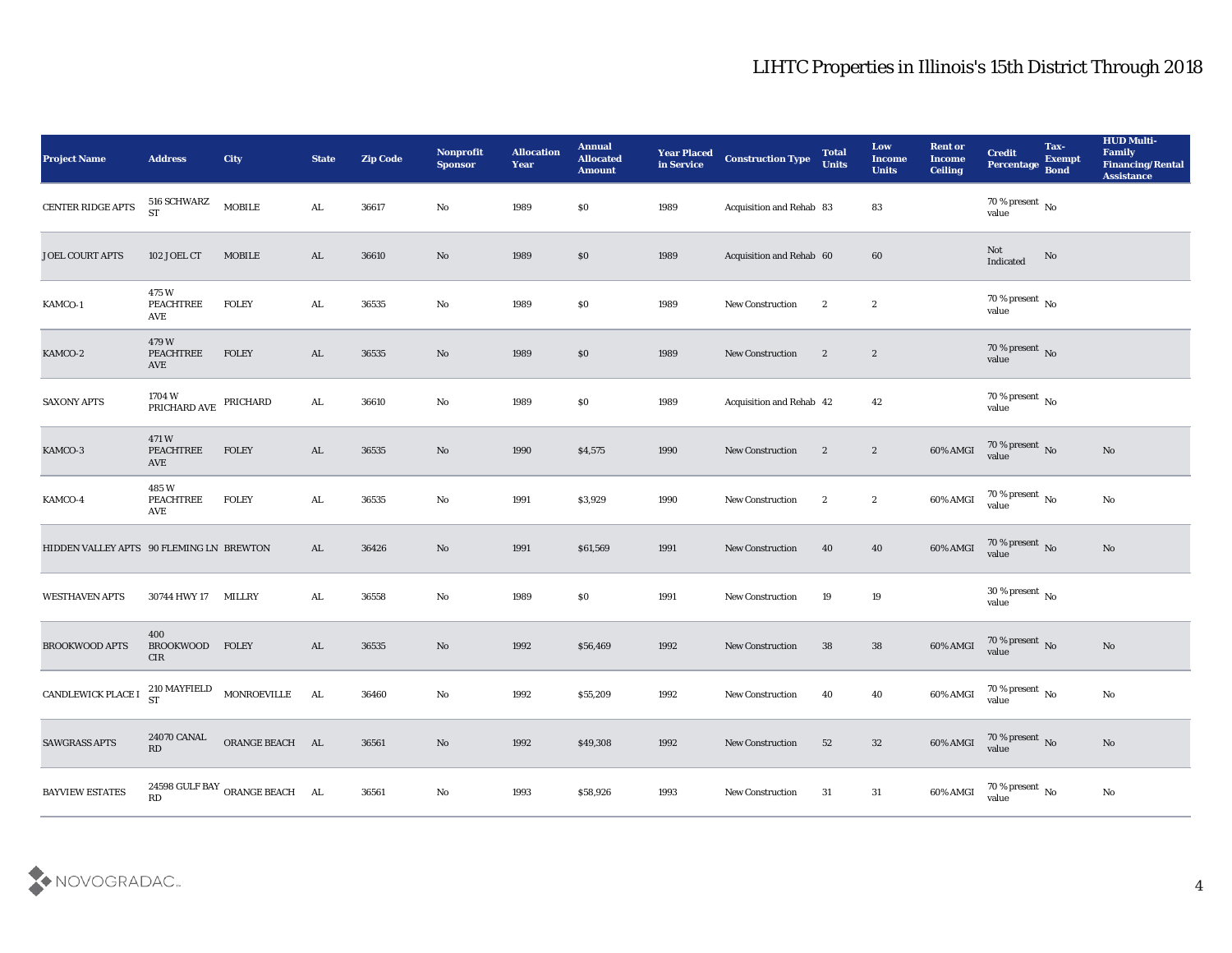| <b>Project Name</b>                      | <b>Address</b>                       | <b>City</b>                    | <b>State</b>  | <b>Zip Code</b> | Nonprofit<br><b>Sponsor</b> | <b>Allocation</b><br><b>Year</b> | <b>Annual</b><br><b>Allocated</b><br><b>Amount</b> | <b>Year Placed</b><br>in Service | <b>Construction Type</b> | <b>Total</b><br><b>Units</b> | Low<br><b>Income</b><br><b>Units</b> | <b>Rent or</b><br><b>Income</b><br><b>Ceiling</b> | <b>Credit</b><br>Percentage Bond   | Tax-<br><b>Exempt</b> | <b>HUD Multi-</b><br>Family<br><b>Financing/Rental</b><br><b>Assistance</b> |
|------------------------------------------|--------------------------------------|--------------------------------|---------------|-----------------|-----------------------------|----------------------------------|----------------------------------------------------|----------------------------------|--------------------------|------------------------------|--------------------------------------|---------------------------------------------------|------------------------------------|-----------------------|-----------------------------------------------------------------------------|
| CENTER RIDGE APTS                        | 516 SCHWARZ<br><b>ST</b>             | ${\bf MOBILE}$                 | ${\bf AL}$    | 36617           | No                          | 1989                             | \$0                                                | 1989                             | Acquisition and Rehab 83 |                              | 83                                   |                                                   | 70 % present No<br>value           |                       |                                                                             |
| <b>JOEL COURT APTS</b>                   | 102 JOEL CT                          | <b>MOBILE</b>                  | AL            | 36610           | No                          | 1989                             | $\$0$                                              | 1989                             | Acquisition and Rehab 60 |                              | 60                                   |                                                   | Not<br>Indicated                   | No                    |                                                                             |
| KAMCO-1                                  | 475 W<br><b>PEACHTREE</b><br>AVE     | <b>FOLEY</b>                   | AL.           | 36535           | $\mathbf{N}\mathbf{o}$      | 1989                             | \$0                                                | 1989                             | New Construction         | $\mathbf{2}$                 | $\boldsymbol{2}$                     |                                                   | $70\,\%$ present $\,$ No value     |                       |                                                                             |
| KAMCO-2                                  | 479 W<br><b>PEACHTREE</b><br>AVE     | <b>FOLEY</b>                   | AL            | 36535           | No                          | 1989                             | \$0\$                                              | 1989                             | <b>New Construction</b>  | $\mathbf{2}$                 | $\boldsymbol{2}$                     |                                                   | $70\,\%$ present $\,$ No value     |                       |                                                                             |
| <b>SAXONY APTS</b>                       | $1704\ \rm{W}$ PRICHARD AVE PRICHARD |                                | $\mathbf{AL}$ | 36610           | No                          | 1989                             | \$0                                                | 1989                             | Acquisition and Rehab 42 |                              | 42                                   |                                                   | $70$ % present $\,$ No value       |                       |                                                                             |
| KAMCO-3                                  | 471W<br><b>PEACHTREE</b><br>AVE      | <b>FOLEY</b>                   | AL            | 36535           | No                          | 1990                             | \$4,575                                            | 1990                             | New Construction         | $\overline{2}$               | $\mathbf{2}$                         | 60% AMGI                                          | $70\,\%$ present $\,$ No value     |                       | No                                                                          |
| KAMCO-4                                  | 485 W<br><b>PEACHTREE</b><br>AVE     | <b>FOLEY</b>                   | AL.           | 36535           | No                          | 1991                             | \$3,929                                            | 1990                             | <b>New Construction</b>  | $\mathbf{2}$                 | $\boldsymbol{2}$                     | 60% AMGI                                          | $70$ % present $\,$ No value       |                       | No                                                                          |
| HIDDEN VALLEY APTS 90 FLEMING LN BREWTON |                                      |                                | AL            | 36426           | No                          | 1991                             | \$61,569                                           | 1991                             | New Construction         | 40                           | 40                                   | 60% AMGI                                          | $70\,\%$ present $\,$ No value     |                       | No                                                                          |
| <b>WESTHAVEN APTS</b>                    | 30744 HWY 17                         | <b>MILLRY</b>                  | AL            | 36558           | No                          | 1989                             | \$0                                                | 1991                             | <b>New Construction</b>  | 19                           | 19                                   |                                                   | $30\,\%$ present $\,$ No value     |                       |                                                                             |
| <b>BROOKWOOD APTS</b>                    | 400<br><b>BROOKWOOD</b><br>CIR       | <b>FOLEY</b>                   | AL            | 36535           | No                          | 1992                             | \$56,469                                           | 1992                             | <b>New Construction</b>  | 38                           | 38                                   | 60% AMGI                                          | $70\,\%$ present $\,$ No value     |                       | No                                                                          |
| CANDLEWICK PLACE I                       | 210 MAYFIELD<br>ST                   | MONROEVILLE                    | AL            | 36460           | No                          | 1992                             | \$55,209                                           | 1992                             | <b>New Construction</b>  | 40                           | 40                                   | 60% AMGI                                          | 70 % present $\,$ No $\,$<br>value |                       | $\mathbf{N}\mathbf{o}$                                                      |
| <b>SAWGRASS APTS</b>                     | 24070 CANAL<br>RD                    | ORANGE BEACH AL                |               | 36561           | $\rm\thinspace No$          | 1992                             | \$49,308                                           | 1992                             | <b>New Construction</b>  | 52                           | 32                                   | 60% AMGI                                          | $70\,\%$ present $\,$ No value     |                       | $\rm\thinspace No$                                                          |
| <b>BAYVIEW ESTATES</b>                   | RD                                   | 24598 GULF BAY ORANGE BEACH AL |               | 36561           | $\rm\thinspace No$          | 1993                             | \$58,926                                           | 1993                             | New Construction         | 31                           | $31\,$                               | 60% AMGI                                          | $70\,\%$ present $\,$ No value     |                       | $\mathbf {No}$                                                              |

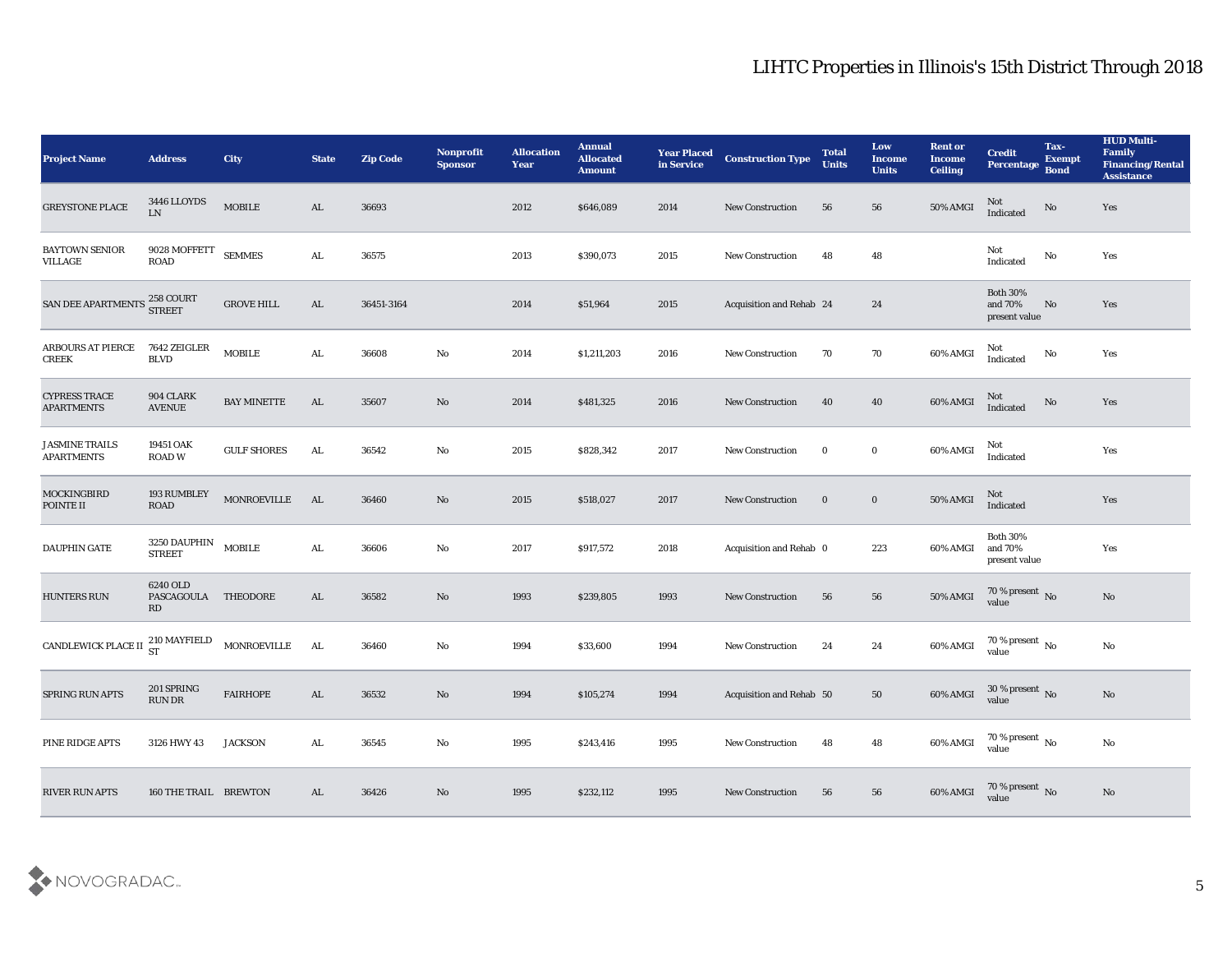| <b>Project Name</b>                        | <b>Address</b>                     | City                    | <b>State</b> | <b>Zip Code</b> | Nonprofit<br><b>Sponsor</b> | <b>Allocation</b><br><b>Year</b> | <b>Annual</b><br><b>Allocated</b><br><b>Amount</b> | <b>Year Placed</b><br>in Service | <b>Construction Type</b>        | <b>Total</b><br><b>Units</b> | Low<br><b>Income</b><br><b>Units</b> | <b>Rent or</b><br><b>Income</b><br><b>Ceiling</b> | <b>Credit</b><br>Percentage Bond            | Tax-<br><b>Exempt</b> | <b>HUD Multi-</b><br>Family<br><b>Financing/Rental</b><br><b>Assistance</b> |
|--------------------------------------------|------------------------------------|-------------------------|--------------|-----------------|-----------------------------|----------------------------------|----------------------------------------------------|----------------------------------|---------------------------------|------------------------------|--------------------------------------|---------------------------------------------------|---------------------------------------------|-----------------------|-----------------------------------------------------------------------------|
| <b>GREYSTONE PLACE</b>                     | 3446 LLOYDS<br>LN                  | $\operatorname{MOBILE}$ | AL           | 36693           |                             | 2012                             | \$646,089                                          | 2014                             | <b>New Construction</b>         | 56                           | 56                                   | 50% AMGI                                          | Not<br>Indicated                            | No                    | Yes                                                                         |
| BAYTOWN SENIOR<br><b>VILLAGE</b>           | 9028 MOFFETT SEMMES<br><b>ROAD</b> |                         | ${\bf AL}$   | 36575           |                             | 2013                             | \$390,073                                          | 2015                             | <b>New Construction</b>         | 48                           | 48                                   |                                                   | Not<br>Indicated                            | No                    | Yes                                                                         |
| SAN DEE APARTMENTS                         | 258 COURT<br>STREET                | <b>GROVE HILL</b>       | AL           | 36451-3164      |                             | 2014                             | \$51,964                                           | 2015                             | <b>Acquisition and Rehab 24</b> |                              | 24                                   |                                                   | <b>Both 30%</b><br>and 70%<br>present value | No                    | Yes                                                                         |
| <b>ARBOURS AT PIERCE</b><br><b>CREEK</b>   | 7642 ZEIGLER<br><b>BLVD</b>        | <b>MOBILE</b>           | ${\bf AL}$   | 36608           | No                          | 2014                             | \$1,211,203                                        | 2016                             | <b>New Construction</b>         | 70                           | 70                                   | 60% AMGI                                          | Not<br>Indicated                            | $\rm\thinspace No$    | Yes                                                                         |
| <b>CYPRESS TRACE</b><br><b>APARTMENTS</b>  | 904 CLARK<br><b>AVENUE</b>         | <b>BAY MINETTE</b>      | AL           | 35607           | No                          | 2014                             | \$481,325                                          | 2016                             | <b>New Construction</b>         | 40                           | 40                                   | 60% AMGI                                          | Not<br>Indicated                            | $\rm\thinspace No$    | Yes                                                                         |
| <b>JASMINE TRAILS</b><br><b>APARTMENTS</b> | 19451 OAK<br><b>ROAD W</b>         | <b>GULF SHORES</b>      | AL.          | 36542           | No                          | 2015                             | \$828,342                                          | 2017                             | <b>New Construction</b>         | $\bf{0}$                     | $\bf{0}$                             | 60% AMGI                                          | Not<br>Indicated                            |                       | Yes                                                                         |
| <b>MOCKINGBIRD</b><br>POINTE II            | 193 RUMBLEY<br><b>ROAD</b>         | MONROEVILLE             | AL           | 36460           | No                          | 2015                             | \$518,027                                          | 2017                             | <b>New Construction</b>         | $\bf{0}$                     | $\bf{0}$                             | 50% AMGI                                          | Not<br>Indicated                            |                       | Yes                                                                         |
| <b>DAUPHIN GATE</b>                        | 3250 DAUPHIN<br><b>STREET</b>      | <b>MOBILE</b>           | AL           | 36606           | No                          | 2017                             | \$917,572                                          | 2018                             | Acquisition and Rehab 0         |                              | 223                                  | 60% AMGI                                          | <b>Both 30%</b><br>and 70%<br>present value |                       | Yes                                                                         |
| <b>HUNTERS RUN</b>                         | 6240 OLD<br>PASCAGOULA<br>RD       | THEODORE                | AL           | 36582           | No                          | 1993                             | \$239,805                                          | 1993                             | <b>New Construction</b>         | 56                           | 56                                   | <b>50% AMGI</b>                                   | $70\,\%$ present $${\rm No}$$ value         |                       | $\mathbf{N}\mathbf{o}$                                                      |
| CANDLEWICK PLACE II 210 MAYFIELD           |                                    | MONROEVILLE             | AL           | 36460           | No                          | 1994                             | \$33,600                                           | 1994                             | <b>New Construction</b>         | 24                           | 24                                   | 60% AMGI                                          | $70\,\%$ present $\,$ No value              |                       | No                                                                          |
| SPRING RUN APTS                            | 201 SPRING<br><b>RUN DR</b>        | <b>FAIRHOPE</b>         | AL           | 36532           | No                          | 1994                             | \$105,274                                          | 1994                             | Acquisition and Rehab 50        |                              | 50                                   | 60% AMGI                                          | 30 % present $\overline{N_0}$<br>value      |                       | No                                                                          |
| PINE RIDGE APTS                            | 3126 HWY 43                        | <b>JACKSON</b>          | ${\bf AL}$   | 36545           | $\rm\thinspace No$          | 1995                             | \$243,416                                          | 1995                             | New Construction                | 48                           | 48                                   | 60% AMGI                                          | $70\,\%$ present $\,$ No value              |                       | $\rm \bf No$                                                                |
| <b>RIVER RUN APTS</b>                      | 160 THE TRAIL BREWTON              |                         | AL           | 36426           | $\mathbf{N}\mathbf{o}$      | 1995                             | \$232,112                                          | 1995                             | New Construction                | 56                           | 56                                   | 60% AMGI                                          | $70$ % present $\,$ No $\,$ value           |                       | $\rm No$                                                                    |

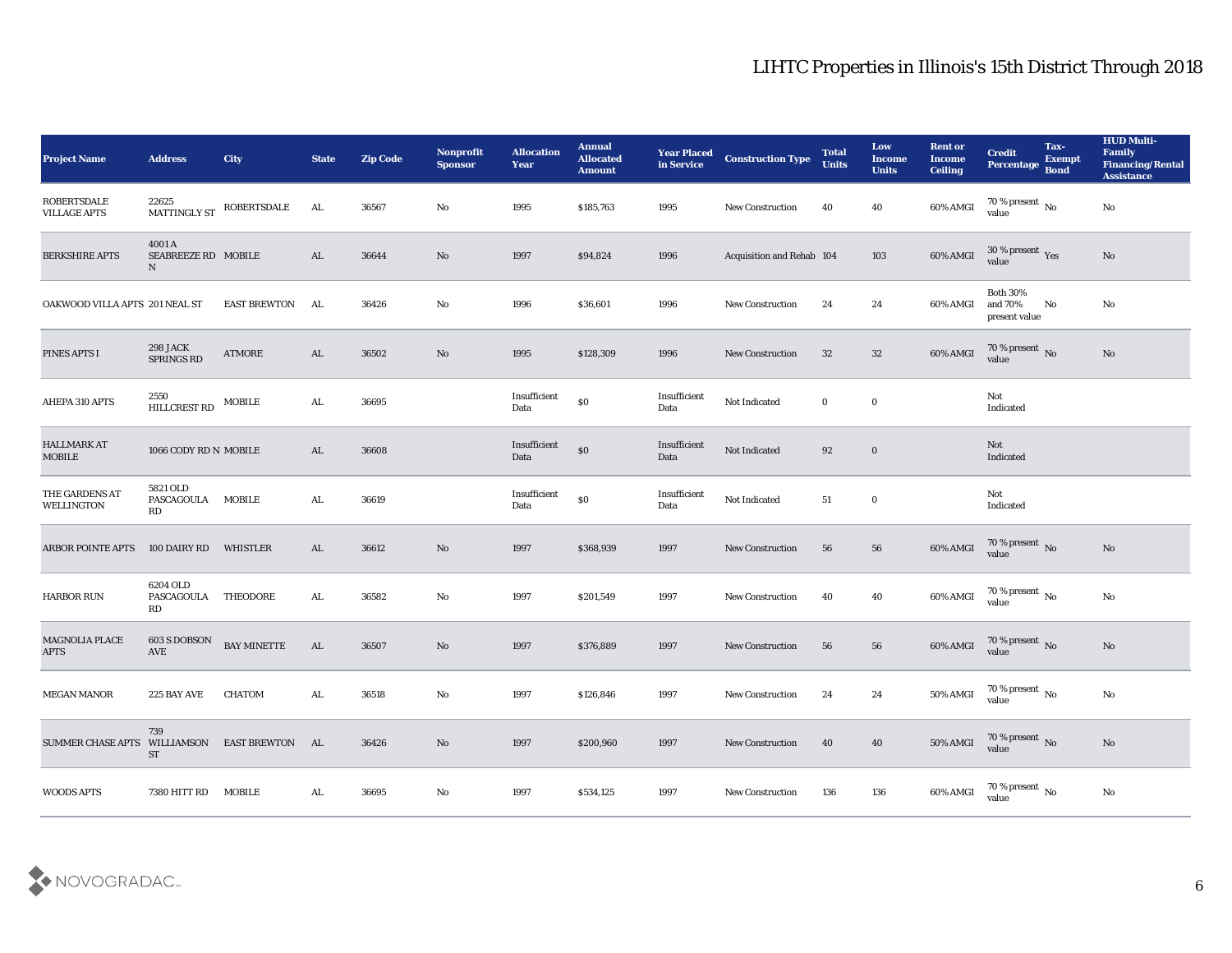| Project Name                                 | <b>Address</b>                     | City                | <b>State</b> | <b>Zip Code</b> | Nonprofit<br><b>Sponsor</b> | <b>Allocation</b><br>Year | <b>Annual</b><br><b>Allocated</b><br><b>Amount</b> | <b>Year Placed<br/>in Service</b> | <b>Construction Type</b>         | <b>Total</b><br><b>Units</b> | Low<br><b>Income</b><br><b>Units</b> | <b>Rent or</b><br><b>Income</b><br><b>Ceiling</b> | <b>Credit</b><br><b>Percentage</b>          | Tax-<br><b>Exempt</b><br><b>Bond</b> | <b>HUD Multi-</b><br>Family<br><b>Financing/Rental</b><br><b>Assistance</b> |
|----------------------------------------------|------------------------------------|---------------------|--------------|-----------------|-----------------------------|---------------------------|----------------------------------------------------|-----------------------------------|----------------------------------|------------------------------|--------------------------------------|---------------------------------------------------|---------------------------------------------|--------------------------------------|-----------------------------------------------------------------------------|
| <b>ROBERTSDALE</b><br><b>VILLAGE APTS</b>    | 22625<br>MATTINGLY ST              | ROBERTSDALE         | AL           | 36567           | No                          | 1995                      | \$185,763                                          | 1995                              | <b>New Construction</b>          | 40                           | 40                                   | $60\%$ AMGI                                       | $70\%$ present No<br>value                  |                                      | No                                                                          |
| <b>BERKSHIRE APTS</b>                        | 4001 A<br>SEABREEZE RD MOBILE<br>N |                     | AL           | 36644           | No                          | 1997                      | \$94,824                                           | 1996                              | <b>Acquisition and Rehab 104</b> |                              | 103                                  | $60\%$ AMGI                                       | $30\,\%$ present $\,$ Yes value             |                                      | No                                                                          |
| OAKWOOD VILLA APTS 201 NEAL ST               |                                    | <b>EAST BREWTON</b> | AL           | 36426           | No                          | 1996                      | \$36,601                                           | 1996                              | <b>New Construction</b>          | 24                           | 24                                   | 60% AMGI                                          | <b>Both 30%</b><br>and 70%<br>present value | No                                   | No                                                                          |
| PINES APTS I                                 | <b>298 JACK</b><br>SPRINGS RD      | <b>ATMORE</b>       | AL           | 36502           | No                          | 1995                      | \$128,309                                          | 1996                              | <b>New Construction</b>          | 32                           | 32                                   | $60\%$ AMGI                                       | $70\,\%$ present $\,$ No value              |                                      | No                                                                          |
| AHEPA 310 APTS                               | 2550<br>HILLCREST RD               | <b>MOBILE</b>       | AL.          | 36695           |                             | Insufficient<br>Data      | $\$0$                                              | Insufficient<br>Data              | Not Indicated                    | $\bf{0}$                     | $\bf{0}$                             |                                                   | Not<br>Indicated                            |                                      |                                                                             |
| <b>HALLMARK AT</b><br>MOBILE                 | 1066 CODY RD N MOBILE              |                     | AL           | 36608           |                             | Insufficient<br>Data      | $\$0$                                              | Insufficient<br>Data              | Not Indicated                    | 92                           | $\bf{0}$                             |                                                   | Not<br>Indicated                            |                                      |                                                                             |
| THE GARDENS AT<br>WELLINGTON                 | 5821 OLD<br>PASCAGOULA<br>RD       | <b>MOBILE</b>       | AL           | 36619           |                             | Insufficient<br>Data      | $\$0$                                              | Insufficient<br>Data              | Not Indicated                    | 51                           | $\bf{0}$                             |                                                   | Not<br>Indicated                            |                                      |                                                                             |
| <b>ARBOR POINTE APTS</b>                     | 100 DAIRY RD                       | WHISTLER            | AL           | 36612           | No                          | 1997                      | \$368,939                                          | 1997                              | <b>New Construction</b>          | 56                           | 56                                   | 60% AMGI                                          | $70\,\%$ present $\,$ No value              |                                      | No                                                                          |
| <b>HARBOR RUN</b>                            | 6204 OLD<br>PASCAGOULA<br>RD       | THEODORE            | AL.          | 36582           | No                          | 1997                      | \$201,549                                          | 1997                              | <b>New Construction</b>          | 40                           | 40                                   | 60% AMGI                                          | $70\,\%$ present $\,$ No value              |                                      | No                                                                          |
| <b>MAGNOLIA PLACE</b><br><b>APTS</b>         | $603$ S DOBSON<br>AVE              | <b>BAY MINETTE</b>  | AL           | 36507           | No                          | 1997                      | \$376,889                                          | 1997                              | <b>New Construction</b>          | 56                           | 56                                   | 60% AMGI                                          | $70$ % present $\,$ No value                |                                      | No                                                                          |
| <b>MEGAN MANOR</b>                           | 225 BAY AVE                        | <b>CHATOM</b>       | AL           | 36518           | No                          | 1997                      | \$126,846                                          | 1997                              | <b>New Construction</b>          | 24                           | 24                                   | 50% AMGI                                          | 70 % present $\,$ No $\,$<br>value          |                                      | No                                                                          |
| SUMMER CHASE APTS WILLIAMSON EAST BREWTON AL | 739<br>ST                          |                     |              | 36426           | $\rm\, No$                  | 1997                      | \$200,960                                          | 1997                              | <b>New Construction</b>          | 40                           | 40                                   | $50\%$ AMGI                                       | $70\,\%$ present $\,$ No value              |                                      | $\mathbf{N}\mathbf{o}$                                                      |
| <b>WOODS APTS</b>                            | 7380 HITT RD MOBILE                |                     | AL           | 36695           | $\rm\thinspace No$          | 1997                      | \$534,125                                          | 1997                              | New Construction                 | 136                          | 136                                  | 60% AMGI                                          | 70 % present $\,$ No $\,$<br>value          |                                      | $\mathbf {No}$                                                              |

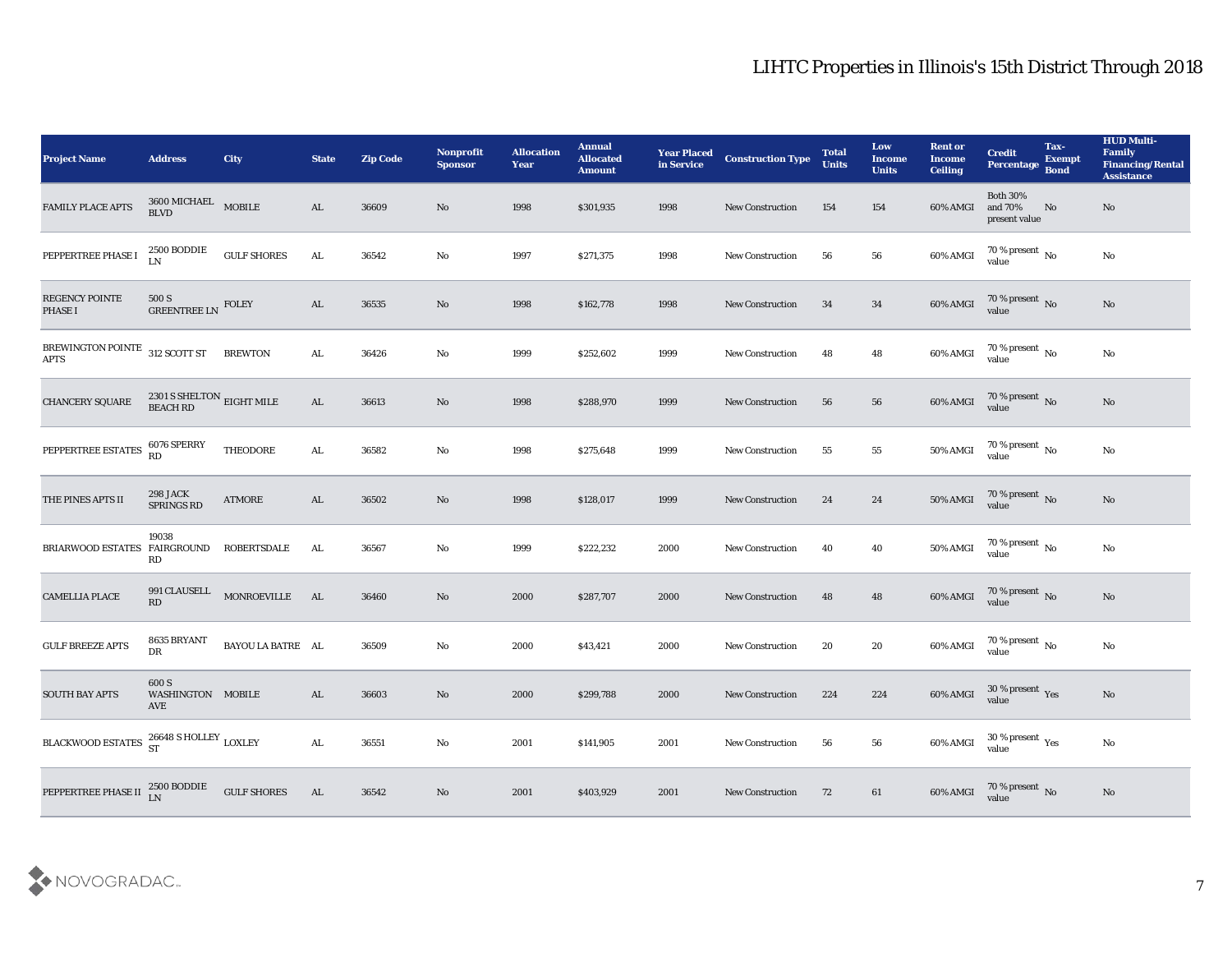| <b>Project Name</b>                           | <b>Address</b>                            | <b>City</b>        | <b>State</b>  | <b>Zip Code</b> | Nonprofit<br><b>Sponsor</b> | <b>Allocation</b><br>Year | <b>Annual</b><br><b>Allocated</b><br><b>Amount</b> | <b>Year Placed</b><br>in Service | <b>Construction Type</b> | <b>Total</b><br><b>Units</b> | Low<br><b>Income</b><br><b>Units</b> | <b>Rent or</b><br><b>Income</b><br><b>Ceiling</b> | <b>Credit</b><br>Percentage Bond            | Tax-<br><b>Exempt</b> | <b>HUD Multi-</b><br>Family<br><b>Financing/Rental</b><br><b>Assistance</b> |
|-----------------------------------------------|-------------------------------------------|--------------------|---------------|-----------------|-----------------------------|---------------------------|----------------------------------------------------|----------------------------------|--------------------------|------------------------------|--------------------------------------|---------------------------------------------------|---------------------------------------------|-----------------------|-----------------------------------------------------------------------------|
| FAMILY PLACE APTS                             | $3600\,$ MICHAEL $$\sf{MOBILE}$$ BLVD     |                    | AL            | 36609           | No                          | 1998                      | \$301,935                                          | 1998                             | <b>New Construction</b>  | 154                          | 154                                  | 60% AMGI                                          | <b>Both 30%</b><br>and 70%<br>present value | No                    | No                                                                          |
| PEPPERTREE PHASE I                            | 2500 BODDIE<br>LN                         | $\,$ GULF SHORES   | AL.           | 36542           | No                          | 1997                      | \$271,375                                          | 1998                             | <b>New Construction</b>  | 56                           | 56                                   | 60% AMGI                                          | $70$ % present $\,$ No value                |                       | $\mathbf{N}\mathbf{o}$                                                      |
| REGENCY POINTE<br>PHASE I                     | 500 S<br>GREENTREE LN FOLEY               |                    | AL            | 36535           | No                          | 1998                      | \$162,778                                          | 1998                             | <b>New Construction</b>  | 34                           | 34                                   | $60\%$ AMGI                                       | $70\,\%$ present $\,$ No value              |                       | No                                                                          |
| BREWINGTON POINTE 312 SCOTT ST<br><b>APTS</b> |                                           | <b>BREWTON</b>     | AL            | 36426           | No                          | 1999                      | \$252,602                                          | 1999                             | <b>New Construction</b>  | 48                           | 48                                   | 60% AMGI                                          | $70\,\%$ present $\,$ No value              |                       | $\mathbf{N}\mathbf{o}$                                                      |
| CHANCERY SQUARE                               | $2301$ S SHELTON $\,$ EIGHT MILE BEACH RD |                    | AL            | 36613           | No                          | 1998                      | \$288,970                                          | 1999                             | <b>New Construction</b>  | 56                           | 56                                   | $60\%$ AMGI                                       | $70\,\%$ present $\,$ No value              |                       | No                                                                          |
| PEPPERTREE ESTATES                            | 6076 SPERRY<br>RD                         | <b>THEODORE</b>    | AL            | 36582           | No                          | 1998                      | \$275,648                                          | 1999                             | <b>New Construction</b>  | 55                           | 55                                   | 50% AMGI                                          | $70\,\%$ present $\,$ No value              |                       | No                                                                          |
| THE PINES APTS II                             | <b>298 JACK</b><br>SPRINGS RD             | <b>ATMORE</b>      | AL            | 36502           | No                          | 1998                      | \$128,017                                          | 1999                             | <b>New Construction</b>  | 24                           | 24                                   | <b>50% AMGI</b>                                   | $70\%$ present $\_{\text{N}}$ No            |                       | $\mathbf{N}\mathbf{o}$                                                      |
| BRIARWOOD ESTATES FAIRGROUND                  | 19038<br>RD                               | <b>ROBERTSDALE</b> | AL            | 36567           | No                          | 1999                      | \$222,232                                          | 2000                             | <b>New Construction</b>  | 40                           | 40                                   | 50% AMGI                                          | $70\,\%$ present $\,$ No value              |                       | No                                                                          |
| <b>CAMELLIA PLACE</b>                         | 991 CLAUSELL<br>RD                        | MONROEVILLE        | AL            | 36460           | No                          | 2000                      | \$287,707                                          | 2000                             | <b>New Construction</b>  | 48                           | 48                                   | 60% AMGI                                          | $70\,\%$ present $\,$ No value              |                       | No                                                                          |
| <b>GULF BREEZE APTS</b>                       | 8635 BRYANT<br>DR                         | BAYOU LA BATRE AL  |               | 36509           | No                          | 2000                      | \$43,421                                           | 2000                             | <b>New Construction</b>  | 20                           | 20                                   | 60% AMGI                                          | $70$ % present $\,$ No $\,$ value           |                       | $\mathbf{N}\mathbf{o}$                                                      |
| <b>SOUTH BAY APTS</b>                         | 600 S<br>WASHINGTON MOBILE<br>AVE         |                    | AL            | 36603           | No                          | 2000                      | \$299,788                                          | 2000                             | <b>New Construction</b>  | 224                          | 224                                  | 60% AMGI                                          | 30 % present Yes<br>value                   |                       | No                                                                          |
| BLACKWOOD ESTATES 26648 S HOLLEY LOXLEY       |                                           |                    | $\mathbf{AL}$ | 36551           | $\rm\thinspace No$          | 2001                      | \$141,905                                          | 2001                             | New Construction         | 56                           | 56                                   | 60% AMGI                                          | $30\,\%$ present $\,\mathrm{Yes}$ value     |                       | $\rm \bf No$                                                                |
| PEPPERTREE PHASE II 2500 BODDIE               |                                           | <b>GULF SHORES</b> | AL            | 36542           | $\mathbf{N}\mathbf{o}$      | 2001                      | \$403,929                                          | 2001                             | <b>New Construction</b>  | 72                           | 61                                   | 60% AMGI                                          | $70$ % present $\,$ No $\,$ value $\,$      |                       | No                                                                          |

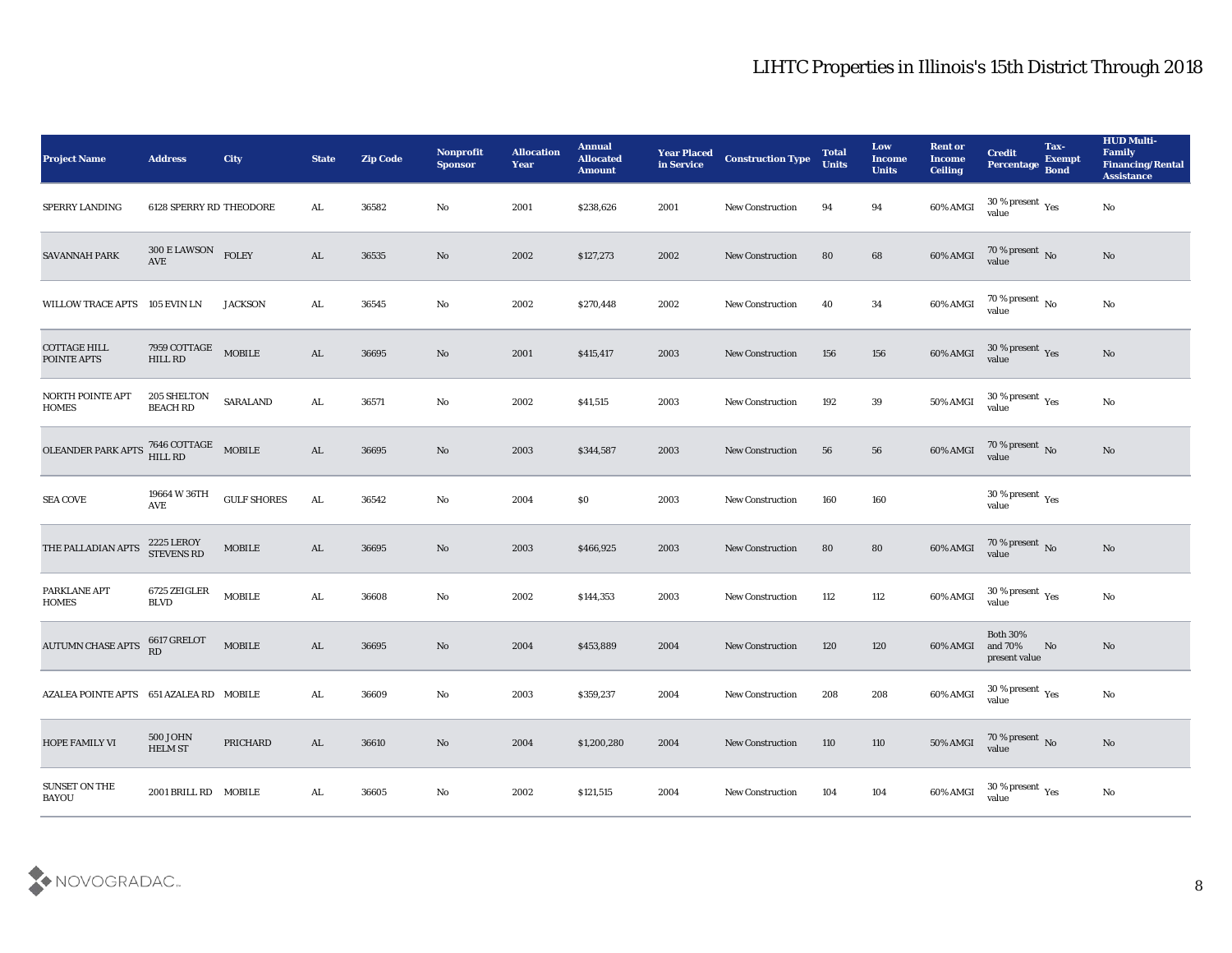| <b>Project Name</b>                     | <b>Address</b>                                  | City                    | <b>State</b>  | <b>Zip Code</b> | Nonprofit<br><b>Sponsor</b> | <b>Allocation</b><br><b>Year</b> | <b>Annual</b><br><b>Allocated</b><br><b>Amount</b> | <b>Year Placed</b><br>in Service | <b>Construction Type</b> | <b>Total</b><br><b>Units</b> | Low<br><b>Income</b><br><b>Units</b> | <b>Rent or</b><br><b>Income</b><br><b>Ceiling</b> | <b>Credit</b><br>Percentage Bond                     | Tax-<br><b>Exempt</b> | <b>HUD Multi-</b><br>Family<br><b>Financing/Rental</b><br><b>Assistance</b> |
|-----------------------------------------|-------------------------------------------------|-------------------------|---------------|-----------------|-----------------------------|----------------------------------|----------------------------------------------------|----------------------------------|--------------------------|------------------------------|--------------------------------------|---------------------------------------------------|------------------------------------------------------|-----------------------|-----------------------------------------------------------------------------|
| SPERRY LANDING                          | 6128 SPERRY RD THEODORE                         |                         | AL            | 36582           | No                          | 2001                             | \$238,626                                          | 2001                             | <b>New Construction</b>  | 94                           | 94                                   | 60% AMGI                                          | 30 % present $\rm\thinspace\gamma_{\rm es}$<br>value |                       | No                                                                          |
| SAVANNAH PARK                           | $300\,\mathrm{E}\,\mathrm{LAWSON}$ FOLEY<br>AVE |                         | AL            | 36535           | No                          | 2002                             | \$127,273                                          | 2002                             | <b>New Construction</b>  | 80                           | 68                                   | $60\%$ AMGI                                       | $70\,\%$ present $\,$ No value                       |                       | No                                                                          |
| WILLOW TRACE APTS 105 EVIN LN           |                                                 | <b>JACKSON</b>          | AL.           | 36545           | No                          | 2002                             | \$270,448                                          | 2002                             | <b>New Construction</b>  | 40                           | 34                                   | 60% AMGI                                          | $70\,\%$ present $\,$ No value                       |                       | $\rm No$                                                                    |
| <b>COTTAGE HILL</b><br>POINTE APTS      | 7959 COTTAGE<br>HILL RD                         | <b>MOBILE</b>           | AL            | 36695           | No                          | 2001                             | \$415,417                                          | 2003                             | <b>New Construction</b>  | 156                          | 156                                  | 60% AMGI                                          | $30\%$ present Yes value                             |                       | No                                                                          |
| <b>NORTH POINTE APT</b><br><b>HOMES</b> | 205 SHELTON<br><b>BEACH RD</b>                  | <b>SARALAND</b>         | AL.           | 36571           | No                          | 2002                             | \$41,515                                           | 2003                             | <b>New Construction</b>  | 192                          | 39                                   | 50% AMGI                                          | 30 % present $\rm\thinspace\gamma_{\rm es}$<br>value |                       | No                                                                          |
| <b>OLEANDER PARK APTS</b>               | 7646 COTTAGE MOBILE<br>HILL RD                  |                         | AL            | 36695           | No                          | 2003                             | \$344,587                                          | 2003                             | <b>New Construction</b>  | 56                           | 56                                   | 60% AMGI                                          | $70\,\%$ present $\,$ No value                       |                       | No                                                                          |
| <b>SEA COVE</b>                         | 19664 W 36TH<br>AVE                             | <b>GULF SHORES</b>      | AL            | 36542           | No                          | 2004                             | \$0                                                | 2003                             | <b>New Construction</b>  | 160                          | 160                                  |                                                   | $30\,\%$ present $\,$ Yes value                      |                       |                                                                             |
| THE PALLADIAN APTS                      | <b>2225 LEROY</b><br><b>STEVENS RD</b>          | $\operatorname{MOBILE}$ | AL            | 36695           | No                          | 2003                             | \$466,925                                          | 2003                             | <b>New Construction</b>  | 80                           | 80                                   | 60% AMGI                                          | $70\,\%$ present $\,$ No value                       |                       | No                                                                          |
| PARKLANE APT<br><b>HOMES</b>            | 6725 ZEIGLER<br><b>BLVD</b>                     | $\operatorname{MOBILE}$ | ${\bf AL}$    | 36608           | No                          | 2002                             | \$144,353                                          | 2003                             | <b>New Construction</b>  | 112                          | 112                                  | 60% AMGI                                          | $30\,\%$ present $\,$ Yes value                      |                       | $\rm No$                                                                    |
| <b>AUTUMN CHASE APTS</b>                | 6617 GRELOT<br>RD                               | $\operatorname{MOBILE}$ | AL            | 36695           | No                          | 2004                             | \$453,889                                          | 2004                             | <b>New Construction</b>  | 120                          | 120                                  | 60% AMGI                                          | <b>Both 30%</b><br>and 70%<br>present value          | No                    | No                                                                          |
| AZALEA POINTE APTS 651 AZALEA RD MOBILE |                                                 |                         | AL.           | 36609           | No                          | 2003                             | \$359,237                                          | 2004                             | <b>New Construction</b>  | 208                          | 208                                  | 60% AMGI                                          | 30 % present $\rm\thinspace\gamma_{\rm es}$<br>value |                       | No                                                                          |
| <b>HOPE FAMILY VI</b>                   | <b>500 JOHN</b><br><b>HELM ST</b>               | PRICHARD                | $\mathbf{AL}$ | 36610           | $\rm\thinspace No$          | 2004                             | \$1,200,280                                        | 2004                             | New Construction         | 110                          | 110                                  | $50\%$ AMGI                                       | $70\,\%$ present $\,$ No value                       |                       | $\rm\thinspace No$                                                          |
| <b>SUNSET ON THE</b><br><b>BAYOU</b>    | 2001 BRILL RD MOBILE                            |                         | $\mathbf{AL}$ | 36605           | $\rm\, No$                  | 2002                             | \$121,515                                          | 2004                             | New Construction         | 104                          | ${\bf 104}$                          | 60% AMGI                                          | 30 % present $\rm\thinspace\gamma_{\rm es}$<br>value |                       | $\mathbf {No}$                                                              |